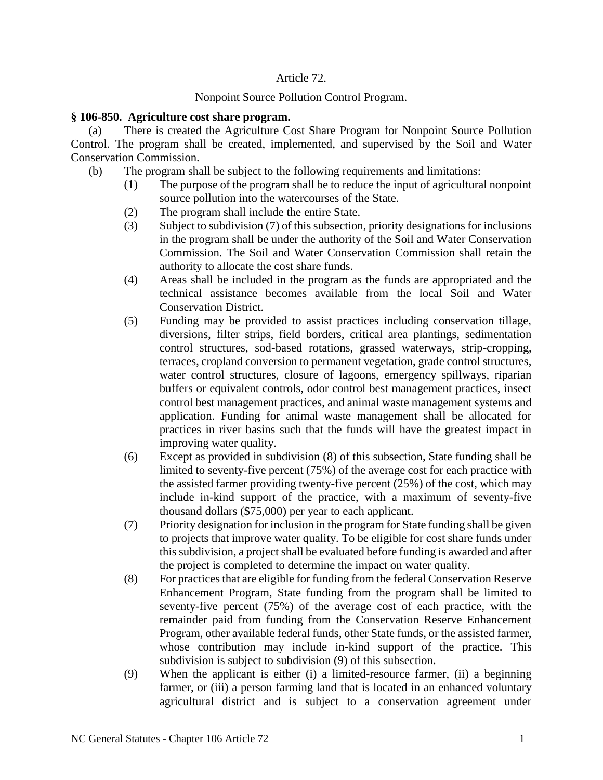## Article 72.

# Nonpoint Source Pollution Control Program.

## **§ 106-850. Agriculture cost share program.**

(a) There is created the Agriculture Cost Share Program for Nonpoint Source Pollution Control. The program shall be created, implemented, and supervised by the Soil and Water Conservation Commission.

- (b) The program shall be subject to the following requirements and limitations:
	- (1) The purpose of the program shall be to reduce the input of agricultural nonpoint source pollution into the watercourses of the State.
	- (2) The program shall include the entire State.
	- (3) Subject to subdivision (7) of this subsection, priority designations for inclusions in the program shall be under the authority of the Soil and Water Conservation Commission. The Soil and Water Conservation Commission shall retain the authority to allocate the cost share funds.
	- (4) Areas shall be included in the program as the funds are appropriated and the technical assistance becomes available from the local Soil and Water Conservation District.
	- (5) Funding may be provided to assist practices including conservation tillage, diversions, filter strips, field borders, critical area plantings, sedimentation control structures, sod-based rotations, grassed waterways, strip-cropping, terraces, cropland conversion to permanent vegetation, grade control structures, water control structures, closure of lagoons, emergency spillways, riparian buffers or equivalent controls, odor control best management practices, insect control best management practices, and animal waste management systems and application. Funding for animal waste management shall be allocated for practices in river basins such that the funds will have the greatest impact in improving water quality.
	- (6) Except as provided in subdivision (8) of this subsection, State funding shall be limited to seventy-five percent (75%) of the average cost for each practice with the assisted farmer providing twenty-five percent (25%) of the cost, which may include in-kind support of the practice, with a maximum of seventy-five thousand dollars (\$75,000) per year to each applicant.
	- (7) Priority designation for inclusion in the program for State funding shall be given to projects that improve water quality. To be eligible for cost share funds under this subdivision, a project shall be evaluated before funding is awarded and after the project is completed to determine the impact on water quality.
	- (8) For practices that are eligible for funding from the federal Conservation Reserve Enhancement Program, State funding from the program shall be limited to seventy-five percent (75%) of the average cost of each practice, with the remainder paid from funding from the Conservation Reserve Enhancement Program, other available federal funds, other State funds, or the assisted farmer, whose contribution may include in-kind support of the practice. This subdivision is subject to subdivision (9) of this subsection.
	- (9) When the applicant is either (i) a limited-resource farmer, (ii) a beginning farmer, or (iii) a person farming land that is located in an enhanced voluntary agricultural district and is subject to a conservation agreement under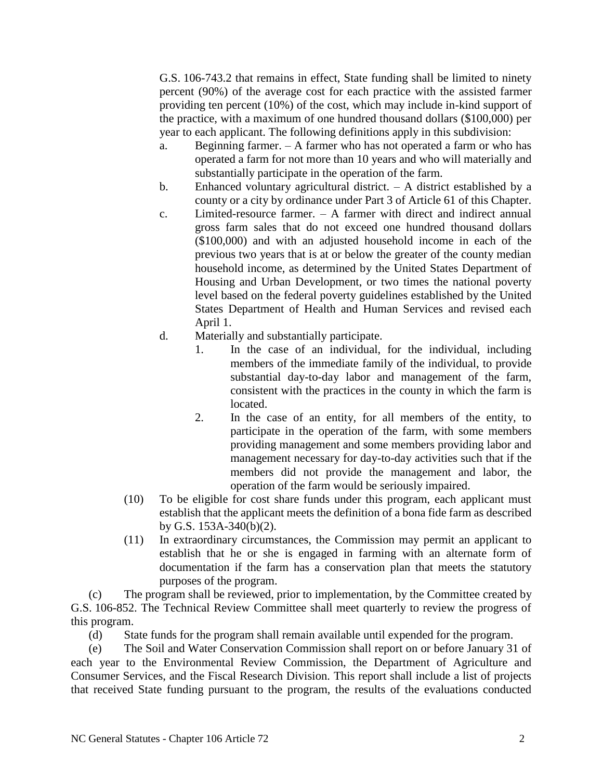G.S. 106-743.2 that remains in effect, State funding shall be limited to ninety percent (90%) of the average cost for each practice with the assisted farmer providing ten percent (10%) of the cost, which may include in-kind support of the practice, with a maximum of one hundred thousand dollars (\$100,000) per year to each applicant. The following definitions apply in this subdivision:

- a. Beginning farmer. A farmer who has not operated a farm or who has operated a farm for not more than 10 years and who will materially and substantially participate in the operation of the farm.
- b. Enhanced voluntary agricultural district. A district established by a county or a city by ordinance under Part 3 of Article 61 of this Chapter.
- c. Limited-resource farmer. A farmer with direct and indirect annual gross farm sales that do not exceed one hundred thousand dollars (\$100,000) and with an adjusted household income in each of the previous two years that is at or below the greater of the county median household income, as determined by the United States Department of Housing and Urban Development, or two times the national poverty level based on the federal poverty guidelines established by the United States Department of Health and Human Services and revised each April 1.
- d. Materially and substantially participate.
	- 1. In the case of an individual, for the individual, including members of the immediate family of the individual, to provide substantial day-to-day labor and management of the farm, consistent with the practices in the county in which the farm is located.
	- 2. In the case of an entity, for all members of the entity, to participate in the operation of the farm, with some members providing management and some members providing labor and management necessary for day-to-day activities such that if the members did not provide the management and labor, the operation of the farm would be seriously impaired.
- (10) To be eligible for cost share funds under this program, each applicant must establish that the applicant meets the definition of a bona fide farm as described by G.S. 153A-340(b)(2).
- (11) In extraordinary circumstances, the Commission may permit an applicant to establish that he or she is engaged in farming with an alternate form of documentation if the farm has a conservation plan that meets the statutory purposes of the program.

(c) The program shall be reviewed, prior to implementation, by the Committee created by G.S. 106-852. The Technical Review Committee shall meet quarterly to review the progress of this program.

(d) State funds for the program shall remain available until expended for the program.

(e) The Soil and Water Conservation Commission shall report on or before January 31 of each year to the Environmental Review Commission, the Department of Agriculture and Consumer Services, and the Fiscal Research Division. This report shall include a list of projects that received State funding pursuant to the program, the results of the evaluations conducted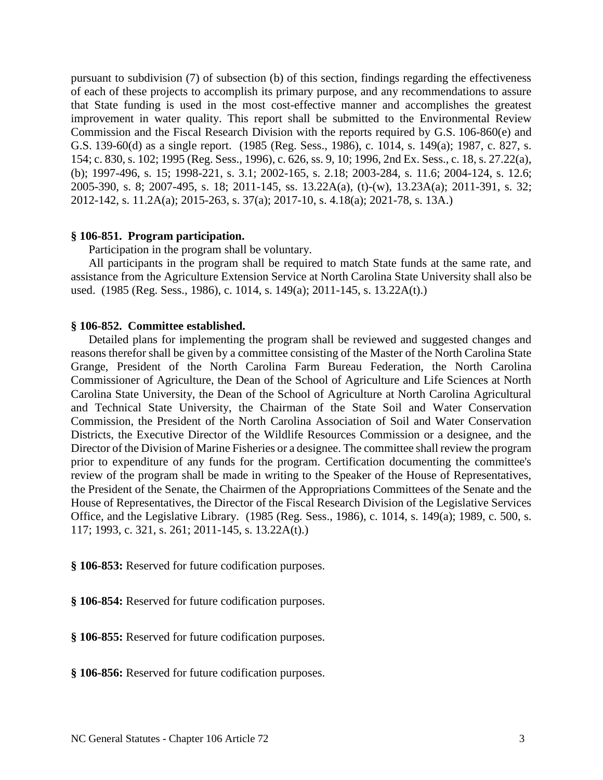pursuant to subdivision (7) of subsection (b) of this section, findings regarding the effectiveness of each of these projects to accomplish its primary purpose, and any recommendations to assure that State funding is used in the most cost-effective manner and accomplishes the greatest improvement in water quality. This report shall be submitted to the Environmental Review Commission and the Fiscal Research Division with the reports required by G.S. 106-860(e) and G.S. 139-60(d) as a single report. (1985 (Reg. Sess., 1986), c. 1014, s. 149(a); 1987, c. 827, s. 154; c. 830, s. 102; 1995 (Reg. Sess., 1996), c. 626, ss. 9, 10; 1996, 2nd Ex. Sess., c. 18, s. 27.22(a), (b); 1997-496, s. 15; 1998-221, s. 3.1; 2002-165, s. 2.18; 2003-284, s. 11.6; 2004-124, s. 12.6; 2005-390, s. 8; 2007-495, s. 18; 2011-145, ss. 13.22A(a), (t)-(w), 13.23A(a); 2011-391, s. 32; 2012-142, s. 11.2A(a); 2015-263, s. 37(a); 2017-10, s. 4.18(a); 2021-78, s. 13A.)

#### **§ 106-851. Program participation.**

Participation in the program shall be voluntary.

All participants in the program shall be required to match State funds at the same rate, and assistance from the Agriculture Extension Service at North Carolina State University shall also be used. (1985 (Reg. Sess., 1986), c. 1014, s. 149(a); 2011-145, s. 13.22A(t).)

#### **§ 106-852. Committee established.**

Detailed plans for implementing the program shall be reviewed and suggested changes and reasons therefor shall be given by a committee consisting of the Master of the North Carolina State Grange, President of the North Carolina Farm Bureau Federation, the North Carolina Commissioner of Agriculture, the Dean of the School of Agriculture and Life Sciences at North Carolina State University, the Dean of the School of Agriculture at North Carolina Agricultural and Technical State University, the Chairman of the State Soil and Water Conservation Commission, the President of the North Carolina Association of Soil and Water Conservation Districts, the Executive Director of the Wildlife Resources Commission or a designee, and the Director of the Division of Marine Fisheries or a designee. The committee shall review the program prior to expenditure of any funds for the program. Certification documenting the committee's review of the program shall be made in writing to the Speaker of the House of Representatives, the President of the Senate, the Chairmen of the Appropriations Committees of the Senate and the House of Representatives, the Director of the Fiscal Research Division of the Legislative Services Office, and the Legislative Library. (1985 (Reg. Sess., 1986), c. 1014, s. 149(a); 1989, c. 500, s. 117; 1993, c. 321, s. 261; 2011-145, s. 13.22A(t).)

**§ 106-853:** Reserved for future codification purposes.

**§ 106-854:** Reserved for future codification purposes.

**§ 106-855:** Reserved for future codification purposes.

**§ 106-856:** Reserved for future codification purposes.